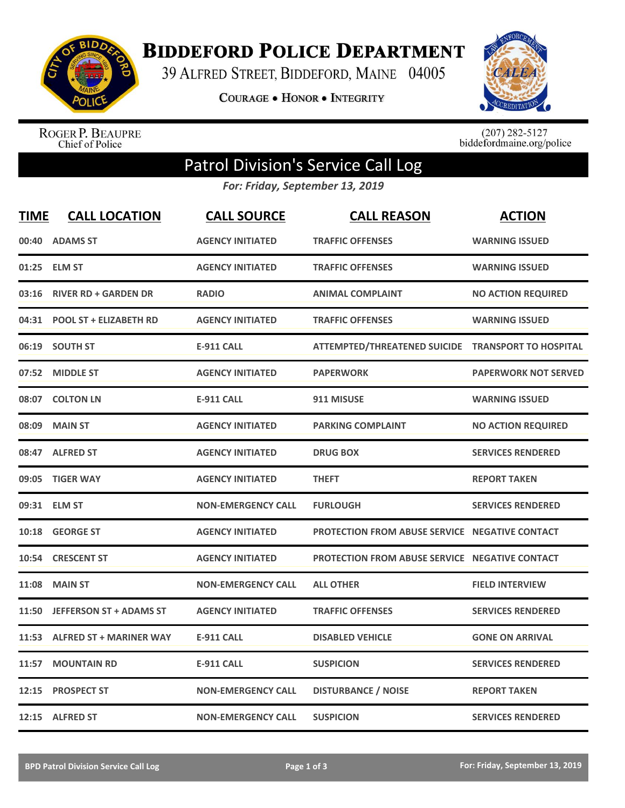

**BIDDEFORD POLICE DEPARTMENT** 

39 ALFRED STREET, BIDDEFORD, MAINE 04005

**COURAGE . HONOR . INTEGRITY** 



ROGER P. BEAUPRE<br>Chief of Police

 $(207)$  282-5127<br>biddefordmaine.org/police

## Patrol Division's Service Call Log

*For: Friday, September 13, 2019*

| <u>TIME</u> | <b>CALL LOCATION</b>           | <b>CALL SOURCE</b>        | <b>CALL REASON</b>                                    | <b>ACTION</b>               |
|-------------|--------------------------------|---------------------------|-------------------------------------------------------|-----------------------------|
| 00:40       | <b>ADAMS ST</b>                | <b>AGENCY INITIATED</b>   | <b>TRAFFIC OFFENSES</b>                               | <b>WARNING ISSUED</b>       |
| 01:25       | <b>ELM ST</b>                  | <b>AGENCY INITIATED</b>   | <b>TRAFFIC OFFENSES</b>                               | <b>WARNING ISSUED</b>       |
| 03:16       | <b>RIVER RD + GARDEN DR</b>    | <b>RADIO</b>              | <b>ANIMAL COMPLAINT</b>                               | <b>NO ACTION REQUIRED</b>   |
| 04:31       | <b>POOL ST + ELIZABETH RD</b>  | <b>AGENCY INITIATED</b>   | <b>TRAFFIC OFFENSES</b>                               | <b>WARNING ISSUED</b>       |
| 06:19       | <b>SOUTH ST</b>                | <b>E-911 CALL</b>         | ATTEMPTED/THREATENED SUICIDE TRANSPORT TO HOSPITAL    |                             |
| 07:52       | <b>MIDDLE ST</b>               | <b>AGENCY INITIATED</b>   | <b>PAPERWORK</b>                                      | <b>PAPERWORK NOT SERVED</b> |
| 08:07       | <b>COLTON LN</b>               | <b>E-911 CALL</b>         | 911 MISUSE                                            | <b>WARNING ISSUED</b>       |
| 08:09       | <b>MAIN ST</b>                 | <b>AGENCY INITIATED</b>   | <b>PARKING COMPLAINT</b>                              | <b>NO ACTION REQUIRED</b>   |
| 08:47       | <b>ALFRED ST</b>               | <b>AGENCY INITIATED</b>   | <b>DRUG BOX</b>                                       | <b>SERVICES RENDERED</b>    |
| 09:05       | <b>TIGER WAY</b>               | <b>AGENCY INITIATED</b>   | <b>THEFT</b>                                          | <b>REPORT TAKEN</b>         |
| 09:31       | <b>ELM ST</b>                  | <b>NON-EMERGENCY CALL</b> | <b>FURLOUGH</b>                                       | <b>SERVICES RENDERED</b>    |
| 10:18       | <b>GEORGE ST</b>               | <b>AGENCY INITIATED</b>   | <b>PROTECTION FROM ABUSE SERVICE NEGATIVE CONTACT</b> |                             |
| 10:54       | <b>CRESCENT ST</b>             | <b>AGENCY INITIATED</b>   | <b>PROTECTION FROM ABUSE SERVICE NEGATIVE CONTACT</b> |                             |
| 11:08       | <b>MAIN ST</b>                 | <b>NON-EMERGENCY CALL</b> | <b>ALL OTHER</b>                                      | <b>FIELD INTERVIEW</b>      |
| 11:50       | <b>JEFFERSON ST + ADAMS ST</b> | <b>AGENCY INITIATED</b>   | <b>TRAFFIC OFFENSES</b>                               | <b>SERVICES RENDERED</b>    |
| 11:53       | <b>ALFRED ST + MARINER WAY</b> | <b>E-911 CALL</b>         | <b>DISABLED VEHICLE</b>                               | <b>GONE ON ARRIVAL</b>      |
| 11:57       | <b>MOUNTAIN RD</b>             | <b>E-911 CALL</b>         | <b>SUSPICION</b>                                      | <b>SERVICES RENDERED</b>    |
| 12:15       | <b>PROSPECT ST</b>             | <b>NON-EMERGENCY CALL</b> | <b>DISTURBANCE / NOISE</b>                            | <b>REPORT TAKEN</b>         |
|             | 12:15 ALFRED ST                | <b>NON-EMERGENCY CALL</b> | <b>SUSPICION</b>                                      | <b>SERVICES RENDERED</b>    |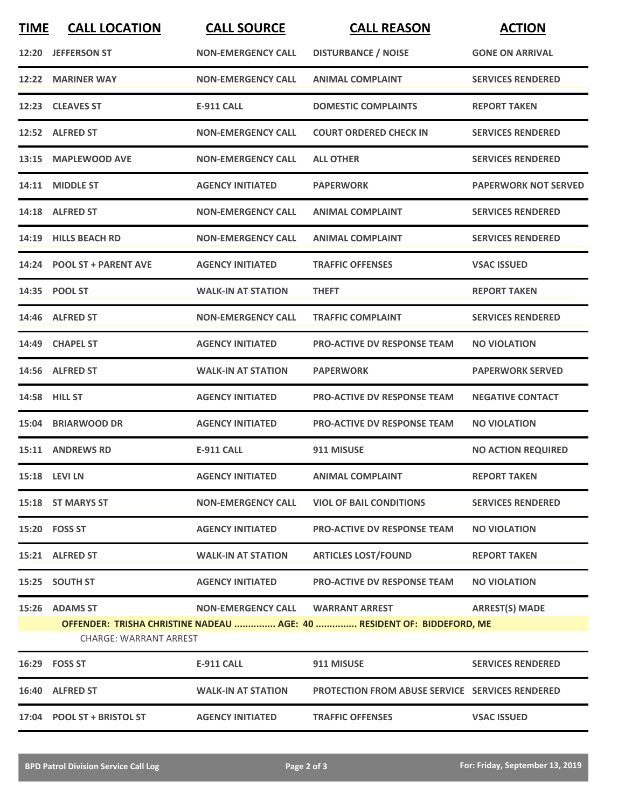| <b>TIME</b> | <b>CALL LOCATION</b>                                                                                    | <b>CALL SOURCE</b>        | <b>CALL REASON</b>                                     | <b>ACTION</b>               |  |
|-------------|---------------------------------------------------------------------------------------------------------|---------------------------|--------------------------------------------------------|-----------------------------|--|
|             | 12:20 JEFFERSON ST                                                                                      | <b>NON-EMERGENCY CALL</b> | <b>DISTURBANCE / NOISE</b>                             | <b>GONE ON ARRIVAL</b>      |  |
| 12:22       | <b>MARINER WAY</b>                                                                                      | <b>NON-EMERGENCY CALL</b> | <b>ANIMAL COMPLAINT</b>                                | <b>SERVICES RENDERED</b>    |  |
|             | 12:23 CLEAVES ST                                                                                        | <b>E-911 CALL</b>         | <b>DOMESTIC COMPLAINTS</b>                             | <b>REPORT TAKEN</b>         |  |
|             | 12:52 ALFRED ST                                                                                         | <b>NON-EMERGENCY CALL</b> | <b>COURT ORDERED CHECK IN</b>                          | <b>SERVICES RENDERED</b>    |  |
|             | 13:15 MAPLEWOOD AVE                                                                                     | <b>NON-EMERGENCY CALL</b> | <b>ALL OTHER</b>                                       | <b>SERVICES RENDERED</b>    |  |
| 14:11       | <b>MIDDLE ST</b>                                                                                        | <b>AGENCY INITIATED</b>   | <b>PAPERWORK</b>                                       | <b>PAPERWORK NOT SERVED</b> |  |
|             | 14:18 ALFRED ST                                                                                         | <b>NON-EMERGENCY CALL</b> | <b>ANIMAL COMPLAINT</b>                                | <b>SERVICES RENDERED</b>    |  |
| 14:19       | <b>HILLS BEACH RD</b>                                                                                   | <b>NON-EMERGENCY CALL</b> | <b>ANIMAL COMPLAINT</b>                                | <b>SERVICES RENDERED</b>    |  |
| 14:24       | <b>POOL ST + PARENT AVE</b>                                                                             | <b>AGENCY INITIATED</b>   | <b>TRAFFIC OFFENSES</b>                                | <b>VSAC ISSUED</b>          |  |
|             | 14:35 POOL ST                                                                                           | <b>WALK-IN AT STATION</b> | <b>THEFT</b>                                           | <b>REPORT TAKEN</b>         |  |
|             | 14:46 ALFRED ST                                                                                         | <b>NON-EMERGENCY CALL</b> | <b>TRAFFIC COMPLAINT</b>                               | <b>SERVICES RENDERED</b>    |  |
|             | 14:49 CHAPEL ST                                                                                         | <b>AGENCY INITIATED</b>   | <b>PRO-ACTIVE DV RESPONSE TEAM</b>                     | <b>NO VIOLATION</b>         |  |
|             | 14:56 ALFRED ST                                                                                         | <b>WALK-IN AT STATION</b> | <b>PAPERWORK</b>                                       | <b>PAPERWORK SERVED</b>     |  |
|             | 14:58 HILL ST                                                                                           | <b>AGENCY INITIATED</b>   | <b>PRO-ACTIVE DV RESPONSE TEAM</b>                     | <b>NEGATIVE CONTACT</b>     |  |
| 15:04       | <b>BRIARWOOD DR</b>                                                                                     | <b>AGENCY INITIATED</b>   | <b>PRO-ACTIVE DV RESPONSE TEAM</b>                     | <b>NO VIOLATION</b>         |  |
|             | 15:11 ANDREWS RD                                                                                        | E-911 CALL                | 911 MISUSE                                             | <b>NO ACTION REQUIRED</b>   |  |
|             | 15:18 LEVI LN                                                                                           | <b>AGENCY INITIATED</b>   | <b>ANIMAL COMPLAINT</b>                                | <b>REPORT TAKEN</b>         |  |
|             | 15:18 ST MARYS ST                                                                                       | <b>NON-EMERGENCY CALL</b> | <b>VIOL OF BAIL CONDITIONS</b>                         | <b>SERVICES RENDERED</b>    |  |
|             | 15:20 FOSS ST                                                                                           | <b>AGENCY INITIATED</b>   | <b>PRO-ACTIVE DV RESPONSE TEAM</b>                     | <b>NO VIOLATION</b>         |  |
|             | 15:21 ALFRED ST                                                                                         | <b>WALK-IN AT STATION</b> | <b>ARTICLES LOST/FOUND</b>                             | <b>REPORT TAKEN</b>         |  |
|             | 15:25 SOUTH ST                                                                                          | <b>AGENCY INITIATED</b>   | <b>PRO-ACTIVE DV RESPONSE TEAM</b>                     | <b>NO VIOLATION</b>         |  |
|             | 15:26 ADAMS ST                                                                                          |                           | NON-EMERGENCY CALL WARRANT ARREST                      | <b>ARREST(S) MADE</b>       |  |
|             | OFFENDER: TRISHA CHRISTINE NADEAU  AGE: 40  RESIDENT OF: BIDDEFORD, ME<br><b>CHARGE: WARRANT ARREST</b> |                           |                                                        |                             |  |
|             | 16:29    FOSS ST                                                                                        | <b>E-911 CALL</b>         | 911 MISUSE                                             | <b>SERVICES RENDERED</b>    |  |
|             | 16:40 ALFRED ST                                                                                         | <b>WALK-IN AT STATION</b> | <b>PROTECTION FROM ABUSE SERVICE SERVICES RENDERED</b> |                             |  |
|             | 17:04 POOL ST + BRISTOL ST                                                                              | <b>AGENCY INITIATED</b>   | <b>TRAFFIC OFFENSES</b>                                | <b>VSAC ISSUED</b>          |  |